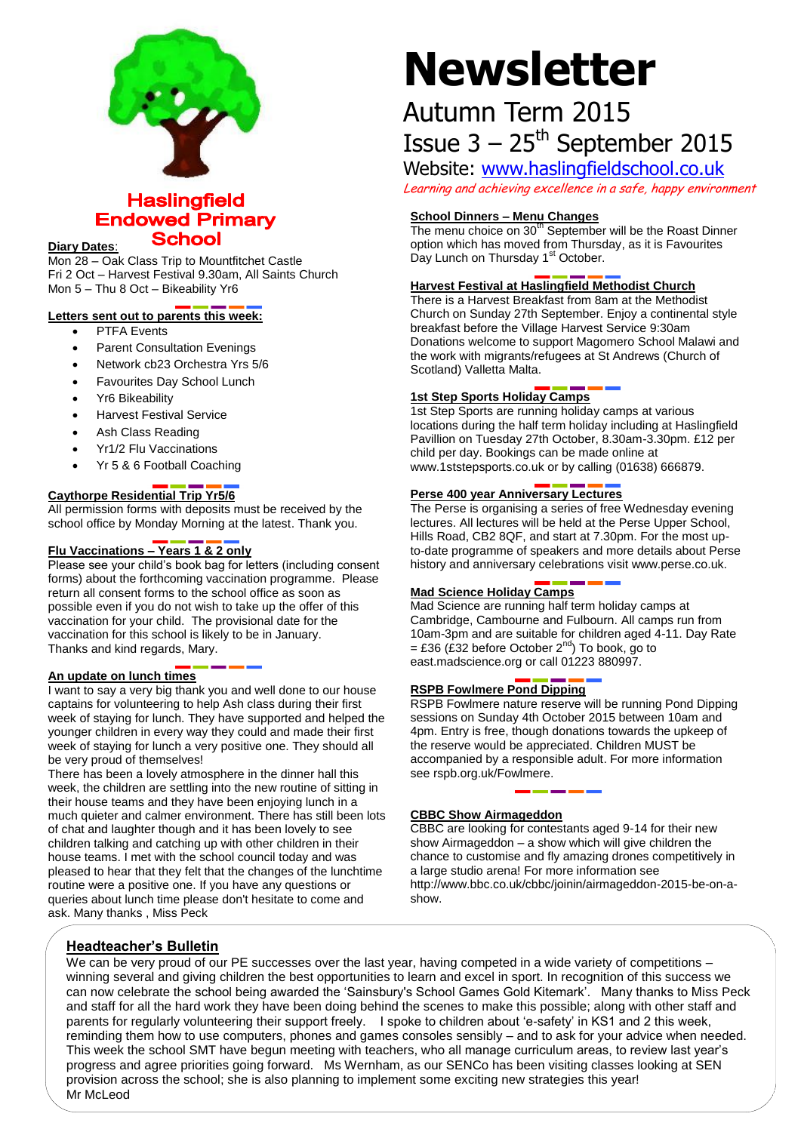

# **Haslingfield Endowed Primary School**

#### **Diary Dates**:

Mon 28 – Oak Class Trip to Mountfitchet Castle Fri 2 Oct – Harvest Festival 9.30am, All Saints Church Mon 5 – Thu 8 Oct – Bikeability Yr6

#### **Letters sent out to parents this week:**

- PTFA Events
- Parent Consultation Evenings
- Network cb23 Orchestra Yrs 5/6
- Favourites Day School Lunch
- Yr6 Bikeability
- Harvest Festival Service
- Ash Class Reading
- Yr1/2 Flu Vaccinations
- Yr 5 & 6 Football Coaching

# **Caythorpe Residential Trip Yr5/6**

All permission forms with deposits must be received by the school office by Monday Morning at the latest. Thank you.

# **Flu Vaccinations – Years 1 & 2 only**

Please see your child's book bag for letters (including consent forms) about the forthcoming vaccination programme. Please return all consent forms to the school office as soon as possible even if you do not wish to take up the offer of this vaccination for your child. The provisional date for the vaccination for this school is likely to be in January. Thanks and kind regards, Mary.

#### **An update on lunch times**

I want to say a very big thank you and well done to our house captains for volunteering to help Ash class during their first week of staying for lunch. They have supported and helped the younger children in every way they could and made their first week of staying for lunch a very positive one. They should all be very proud of themselves!

There has been a lovely atmosphere in the dinner hall this week, the children are settling into the new routine of sitting in their house teams and they have been enjoying lunch in a much quieter and calmer environment. There has still been lots of chat and laughter though and it has been lovely to see children talking and catching up with other children in their house teams. I met with the school council today and was pleased to hear that they felt that the changes of the lunchtime routine were a positive one. If you have any questions or queries about lunch time please don't hesitate to come and ask. Many thanks , Miss Peck

# **Newsletter**

# Autumn Term 2015 Issue  $3 - 25$ <sup>th</sup> September 2015

Website: [www.haslingfieldschool.co.uk](http://www.haslingfieldschool.co.uk/)

Learning and achieving excellence in a safe, happy environment

# **School Dinners – Menu Changes**

The menu choice on  $30<sup>th</sup>$  September will be the Roast Dinner option which has moved from Thursday, as it is Favourites Day Lunch on Thursday 1<sup>st</sup> October.

# **Harvest Festival at Haslingfield Methodist Church**

There is a Harvest Breakfast from 8am at the Methodist Church on Sunday 27th September. Enjoy a continental style breakfast before the Village Harvest Service 9:30am Donations welcome to support Magomero School Malawi and the work with migrants/refugees at St Andrews (Church of Scotland) Valletta Malta.

#### **1st Step Sports Holiday Camps**

1st Step Sports are running holiday camps at various locations during the half term holiday including at Haslingfield Pavillion on Tuesday 27th October, 8.30am-3.30pm. £12 per child per day. Bookings can be made online at www.1ststepsports.co.uk or by calling (01638) 666879.

#### **Perse 400 year Anniversary Lectures**

The Perse is organising a series of free Wednesday evening lectures. All lectures will be held at the Perse Upper School, Hills Road, CB2 8QF, and start at 7.30pm. For the most upto-date programme of speakers and more details about Perse history and anniversary celebrations visit www.perse.co.uk.

# **Mad Science Holiday Camps**

Mad Science are running half term holiday camps at Cambridge, Cambourne and Fulbourn. All camps run from 10am-3pm and are suitable for children aged 4-11. Day Rate = £36 (£32 before October  $2^{nd}$ ) To book, go to east.madscience.org or call 01223 880997.

# **RSPB Fowlmere Pond Dipping**

RSPB Fowlmere nature reserve will be running Pond Dipping sessions on Sunday 4th October 2015 between 10am and 4pm. Entry is free, though donations towards the upkeep of the reserve would be appreciated. Children MUST be accompanied by a responsible adult. For more information see rspb.org.uk/Fowlmere.

#### **CBBC Show Airmageddon**

CBBC are looking for contestants aged 9-14 for their new show Airmageddon – a show which will give children the chance to customise and fly amazing drones competitively in a large studio arena! For more information see http://www.bbc.co.uk/cbbc/joinin/airmageddon-2015-be-on-ashow.

# **Headteacher's Bulletin**

We can be very proud of our PE successes over the last year, having competed in a wide variety of competitions – winning several and giving children the best opportunities to learn and excel in sport. In recognition of this success we can now celebrate the school being awarded the 'Sainsbury's School Games Gold Kitemark'. Many thanks to Miss Peck and staff for all the hard work they have been doing behind the scenes to make this possible; along with other staff and parents for regularly volunteering their support freely. I spoke to children about 'e-safety' in KS1 and 2 this week, reminding them how to use computers, phones and games consoles sensibly – and to ask for your advice when needed. This week the school SMT have begun meeting with teachers, who all manage curriculum areas, to review last year's progress and agree priorities going forward. Ms Wernham, as our SENCo has been visiting classes looking at SEN provision across the school; she is also planning to implement some exciting new strategies this year! Mr McLeod